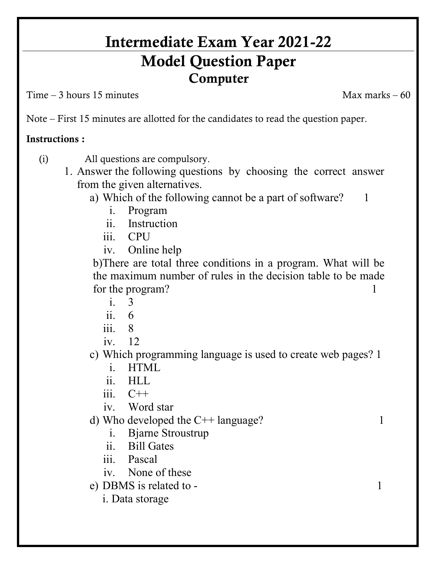## **Intermediate Exam Year 2021-22 Model Question Paper Computer**

 $Time - 3 hours 15 minutes$ 

Note – First 15 minutes are allotted for the candidates to read the question paper.

## **Instructions :**

(i) All questions are compulsory.

- 1. Answer the following questions by choosing the correct answer from the given alternatives.
	- a) Which of the following cannot be a part of software? 1
		- i. Program
		- ii. Instruction
		- iii. CPU
		- iv. Online help

b)There are total three conditions in a program. What will be the maximum number of rules in the decision table to be made for the program? 1

- i. 3
- $ii = 6$
- iii. 8
- iv. 12
- c) Which programming language is used to create web pages? 1
	- i. HTML
	- ii. HLL
	- $iii \quad C++$
	- iv. Word star

d) Who developed the  $C++$  language? 1

- i. Bjarne Stroustrup
- ii. Bill Gates
- iii. Pascal
- iv. None of these

e) DBMS is related to - 1

i. Data storage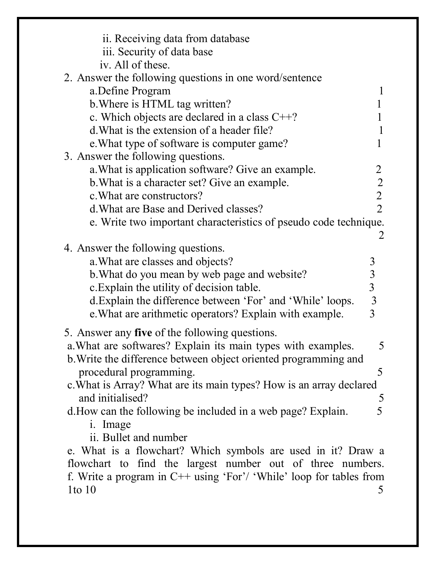| ii. Receiving data from database<br>iii. Security of data base                          |                                            |
|-----------------------------------------------------------------------------------------|--------------------------------------------|
| iv. All of these.                                                                       |                                            |
| 2. Answer the following questions in one word/sentence                                  |                                            |
| a.Define Program                                                                        |                                            |
| b. Where is HTML tag written?                                                           |                                            |
| c. Which objects are declared in a class $C++?$                                         |                                            |
| d. What is the extension of a header file?                                              |                                            |
| e. What type of software is computer game?                                              |                                            |
| 3. Answer the following questions.<br>a. What is application software? Give an example. |                                            |
| b. What is a character set? Give an example.                                            | $\begin{array}{c} 2 \\ 2 \\ 2 \end{array}$ |
| c. What are constructors?                                                               |                                            |
| d. What are Base and Derived classes?                                                   |                                            |
| e. Write two important characteristics of pseudo code technique.                        |                                            |
|                                                                                         | 2                                          |
| 4. Answer the following questions.                                                      |                                            |
| a. What are classes and objects?                                                        |                                            |
| b. What do you mean by web page and website?                                            | $333$<br>$33$<br>$3$                       |
| c. Explain the utility of decision table.                                               |                                            |
| d. Explain the difference between 'For' and 'While' loops.                              |                                            |
| e. What are arithmetic operators? Explain with example.                                 |                                            |
| 5. Answer any five of the following questions.                                          |                                            |
| a. What are softwares? Explain its main types with examples.                            |                                            |
| b. Write the difference between object oriented programming and                         |                                            |
| procedural programming.                                                                 | 5                                          |
| c. What is Array? What are its main types? How is an array declared                     |                                            |
| and initialised?                                                                        |                                            |
| d. How can the following be included in a web page? Explain.                            | $rac{5}{5}$                                |
| i. Image                                                                                |                                            |
| ii. Bullet and number                                                                   |                                            |
| e. What is a flowchart? Which symbols are used in it? Draw a                            |                                            |
| flowchart to find the largest number out of three numbers.                              |                                            |
| f. Write a program in $C++$ using 'For'/ 'While' loop for tables from                   |                                            |
| $1$ to $10$                                                                             | 5                                          |
|                                                                                         |                                            |